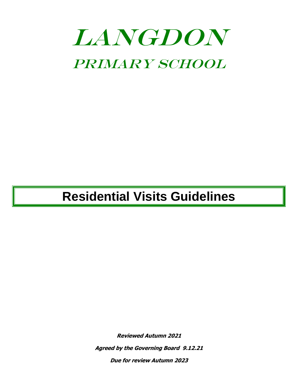# LANGDON PRIMARY SCHOOL

## **Residential Visits Guidelines**

**Reviewed Autumn 2021**

**Agreed by the Governing Board 9.12.21**

**Due for review Autumn 2023**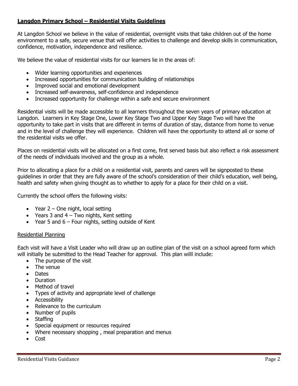#### **Langdon Primary School – Residential Visits Guidelines**

At Langdon School we believe in the value of residential, overnight visits that take children out of the home environment to a safe, secure venue that will offer activities to challenge and develop skills in communication, confidence, motivation, independence and resilience.

We believe the value of residential visits for our learners lie in the areas of:

- Wider learning opportunities and experiences
- Increased opportunities for communication building of relationships
- Improved social and emotional development
- Increased self-awareness, self-confidence and independence
- Increased opportunity for challenge within a safe and secure environment

Residential visits will be made accessible to all learners throughout the seven years of primary education at Langdon. Learners in Key Stage One, Lower Key Stage Two and Upper Key Stage Two will have the opportunity to take part in visits that are different in terms of duration of stay, distance from home to venue and in the level of challenge they will experience. Children will have the opportunity to attend all or some of the residential visits we offer.

Places on residential visits will be allocated on a first come, first served basis but also reflect a risk assessment of the needs of individuals involved and the group as a whole.

Prior to allocating a place for a child on a residential visit, parents and carers will be signposted to these guidelines in order that they are fully aware of the school's consideration of their child's education, well being, health and safety when giving thought as to whether to apply for a place for their child on a visit.

Currently the school offers the following visits:

- Year  $2 -$  One night, local setting
- Years 3 and  $4 Two$  nights, Kent setting
- Year 5 and  $6$  Four nights, setting outside of Kent

#### Residential Planning

Each visit will have a Visit Leader who will draw up an outline plan of the visit on a school agreed form which will initially be submitted to the Head Teacher for approval. This plan willl include:

- The purpose of the visit
- The venue
- Dates
- Duration
- Method of travel
- Types of activity and appropriate level of challenge
- Accessibility
- Relevance to the curriculum
- Number of pupils
- Staffing
- Special equipment or resources required
- Where necessary shopping , meal preparation and menus
- Cost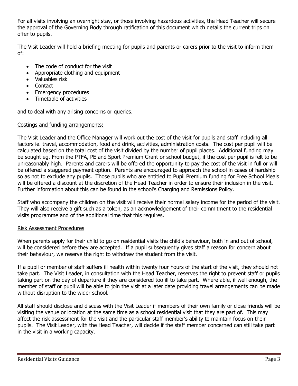For all visits involving an overnight stay, or those involving hazardous activities, the Head Teacher will secure the approval of the Governing Body through ratification of this document which details the current trips on offer to pupils.

The Visit Leader will hold a briefing meeting for pupils and parents or carers prior to the visit to inform them of:

- The code of conduct for the visit
- Appropriate clothing and equipment
- Valuables risk
- Contact
- Emergency procedures
- Timetable of activities

and to deal with any arising concerns or queries.

#### Costings and funding arrangements:

The Visit Leader and the Office Manager will work out the cost of the visit for pupils and staff including all factors ie. travel, accommodation, food and drink, activities, administration costs. The cost per pupil will be calculated based on the total cost of the visit divided by the number of pupil places. Additional funding may be sought eg. From the PTFA, PE and Sport Premium Grant or school budget, if the cost per pupil is felt to be unreasonably high. Parents and carers will be offered the opportunity to pay the cost of the visit in full or will be offered a staggered payment option. Parents are encouraged to approach the school in cases of hardship so as not to exclude any pupils. Those pupils who are entitled to Pupil Premium funding for Free School Meals will be offered a discount at the discretion of the Head Teacher in order to ensure their inclusion in the visit. Further information about this can be found in the school's Charging and Remissions Policy.

Staff who accompany the children on the visit will receive their normal salary income for the period of the visit. They will also receive a gift such as a token, as an acknowledgement of their commitment to the residential visits programme and of the additional time that this requires.

#### Risk Assessment Procedures

When parents apply for their child to go on residential visits the child's behaviour, both in and out of school, will be considered before they are accepted. If a pupil subsequently gives staff a reason for concern about their behaviour, we reserve the right to withdraw the student from the visit.

If a pupil or member of staff suffers ill health within twenty four hours of the start of the visit, they should not take part. The Visit Leader, in consultation with the Head Teacher, reserves the right to prevent staff or pupils taking part on the day of departure if they are considered too ill to take part. Where able, if well enough, the member of staff or pupil will be able to join the visit at a later date providing travel arrangements can be made without disruption to the wider school.

All staff should disclose and discuss with the Visit Leader if members of their own family or close friends will be visiting the venue or location at the same time as a school residential visit that they are part of. This may affect the risk assessment for the visit and the particular staff member's ability to maintain focus on their pupils. The Visit Leader, with the Head Teacher, will decide if the staff member concerned can still take part in the visit in a working capacity.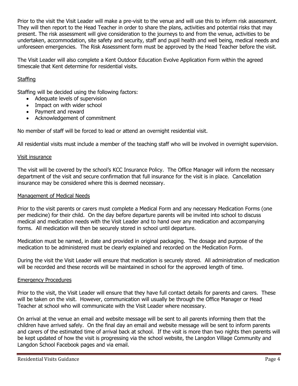Prior to the visit the Visit Leader will make a pre-visit to the venue and will use this to inform risk assessment. They will then report to the Head Teacher in order to share the plans, activities and potential risks that may present. The risk assessment will give consideration to the journeys to and from the venue, activities to be undertaken, accommodation, site safety and security, staff and pupil health and well being, medical needs and unforeseen emergencies. The Risk Assessment form must be approved by the Head Teacher before the visit.

The Visit Leader will also complete a Kent Outdoor Education Evolve Application Form within the agreed timescale that Kent determine for residential visits.

#### **Staffing**

Staffing will be decided using the following factors:

- Adequate levels of supervision
- Impact on with wider school
- Payment and reward
- Acknowledgement of commitment

No member of staff will be forced to lead or attend an overnight residential visit.

All residential visits must include a member of the teaching staff who will be involved in overnight supervision.

#### Visit insurance

The visit will be covered by the school's KCC Insurance Policy. The Office Manager will inform the necessary department of the visit and secure confirmation that full insurance for the visit is in place. Cancellation insurance may be considered where this is deemed necessary.

#### Management of Medical Needs

Prior to the visit parents or carers must complete a Medical Form and any necessary Medication Forms (one per medicine) for their child. On the day before departure parents will be invited into school to discuss medical and medication needs with the Visit Leader and to hand over any medication and accompanying forms. All medication will then be securely stored in school until departure.

Medication must be named, in date and provided in original packaging. The dosage and purpose of the medication to be administered must be clearly explained and recorded on the Medication Form.

During the visit the Visit Leader will ensure that medication is securely stored. All administration of medication will be recorded and these records will be maintained in school for the approved length of time.

#### Emergency Procedures

Prior to the visit, the Visit Leader will ensure that they have full contact details for parents and carers. These will be taken on the visit. However, communication will usually be through the Office Manager or Head Teacher at school who will communicate with the Visit Leader where necessary.

On arrival at the venue an email and website message will be sent to all parents informing them that the children have arrived safely. On the final day an email and website message will be sent to inform parents and carers of the estimated time of arrival back at school. If the visit is more than two nights then parents will be kept updated of how the visit is progressing via the school website, the Langdon Village Community and Langdon School Facebook pages and via email.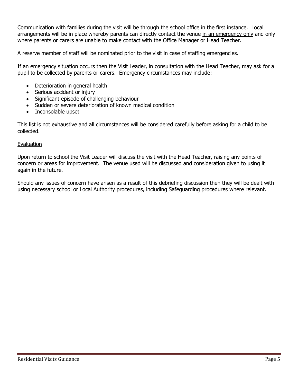Communication with families during the visit will be through the school office in the first instance. Local arrangements will be in place whereby parents can directly contact the venue in an emergency only and only where parents or carers are unable to make contact with the Office Manager or Head Teacher.

A reserve member of staff will be nominated prior to the visit in case of staffing emergencies.

If an emergency situation occurs then the Visit Leader, in consultation with the Head Teacher, may ask for a pupil to be collected by parents or carers. Emergency circumstances may include:

- Deterioration in general health
- Serious accident or injury
- Significant episode of challenging behaviour
- Sudden or severe deterioration of known medical condition
- Inconsolable upset

This list is not exhaustive and all circumstances will be considered carefully before asking for a child to be collected.

#### Evaluation

Upon return to school the Visit Leader will discuss the visit with the Head Teacher, raising any points of concern or areas for improvement. The venue used will be discussed and consideration given to using it again in the future.

Should any issues of concern have arisen as a result of this debriefing discussion then they will be dealt with using necessary school or Local Authority procedures, including Safeguarding procedures where relevant.